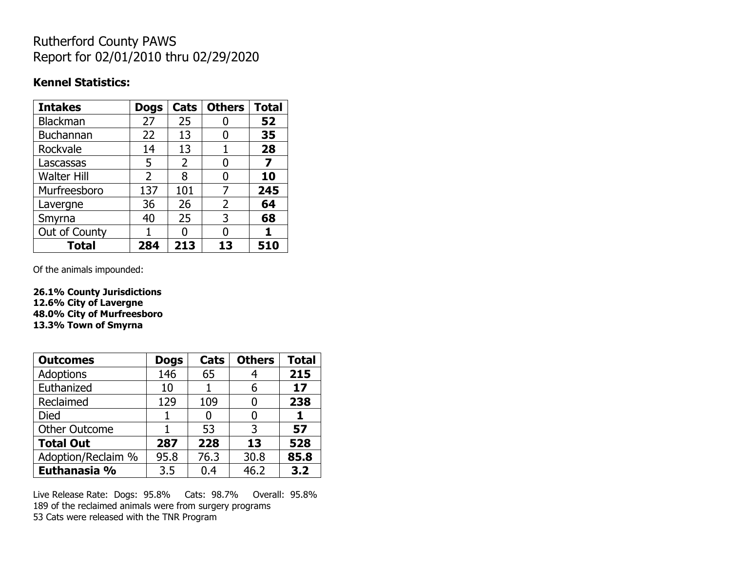## Rutherford County PAWS Report for 02/01/2010 thru 02/29/2020

#### **Kennel Statistics:**

| <b>Intakes</b>     | <b>Dogs</b>    | Cats | <b>Others</b>  | <b>Total</b> |
|--------------------|----------------|------|----------------|--------------|
| <b>Blackman</b>    | 27             | 25   |                | 52           |
| <b>Buchannan</b>   | 22             | 13   | 0              | 35           |
| Rockvale           | 14             | 13   |                | 28           |
| Lascassas          | 5              | 2    | O              | 7            |
| <b>Walter Hill</b> | $\overline{2}$ | 8    | O              | 10           |
| Murfreesboro       | 137            | 101  | 7              | 245          |
| Lavergne           | 36             | 26   | $\overline{2}$ | 64           |
| Smyrna             | 40             | 25   | 3              | 68           |
| Out of County      |                | n    | O              |              |
| <b>Total</b>       | 284            | 213  | 13             | 510          |

Of the animals impounded:

**26.1% County Jurisdictions 12.6% City of Lavergne 48.0% City of Murfreesboro 13.3% Town of Smyrna**

| <b>Outcomes</b>      | <b>Dogs</b> | Cats | <b>Others</b> | <b>Total</b> |
|----------------------|-------------|------|---------------|--------------|
| <b>Adoptions</b>     | 146         | 65   |               | 215          |
| Euthanized           | 10          |      | 6             | 17           |
| Reclaimed            | 129         | 109  |               | 238          |
| <b>Died</b>          |             |      |               |              |
| <b>Other Outcome</b> |             | 53   | 3             | 57           |
| <b>Total Out</b>     | 287         | 228  | 13            | 528          |
| Adoption/Reclaim %   | 95.8        | 76.3 | 30.8          | 85.8         |
| Euthanasia %         | 3.5         | 0.4  | 46.2          | 3.2          |

Live Release Rate: Dogs: 95.8% Cats: 98.7% Overall: 95.8% 189 of the reclaimed animals were from surgery programs 53 Cats were released with the TNR Program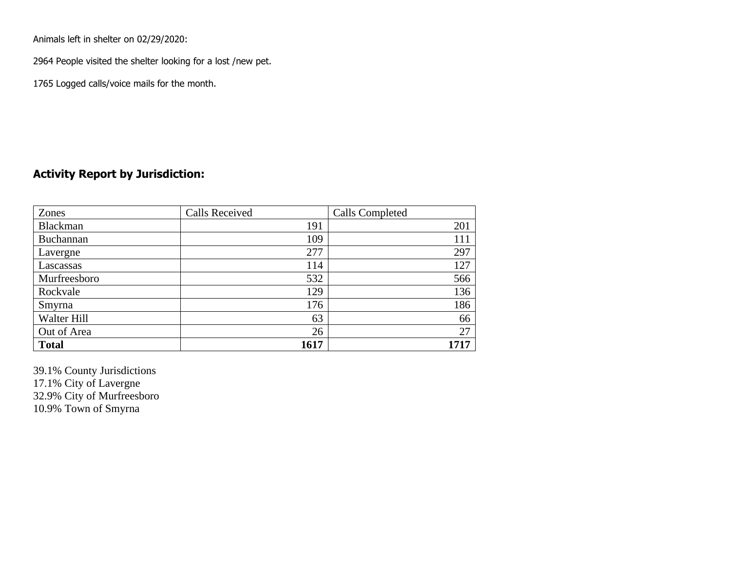Animals left in shelter on 02/29/2020:

2964 People visited the shelter looking for a lost /new pet.

1765 Logged calls/voice mails for the month.

### **Activity Report by Jurisdiction:**

| Zones           | <b>Calls Received</b> | Calls Completed |
|-----------------|-----------------------|-----------------|
| <b>Blackman</b> | 191                   | 201             |
| Buchannan       | 109                   | 111             |
| Lavergne        | 277                   | 297             |
| Lascassas       | 114                   | 127             |
| Murfreesboro    | 532                   | 566             |
| Rockvale        | 129                   | 136             |
| Smyrna          | 176                   | 186             |
| Walter Hill     | 63                    | 66              |
| Out of Area     | 26                    | 27              |
| <b>Total</b>    | 1617                  | 1717            |

39.1% County Jurisdictions 17.1% City of Lavergne 32.9% City of Murfreesboro 10.9% Town of Smyrna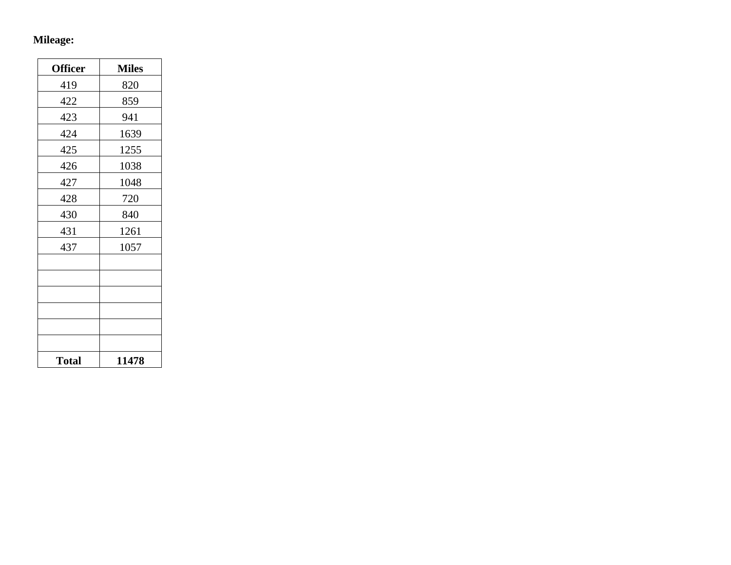# **Mileage:**

| <b>Officer</b> | <b>Miles</b> |
|----------------|--------------|
| 419            | 820          |
| 422            | 859          |
| 423            | 941          |
| 424            | 1639         |
| 425            | 1255         |
| 426            | 1038         |
| 427            | 1048         |
| 428            | 720          |
| 430            | 840          |
| 431            | 1261         |
| 437            | 1057         |
|                |              |
|                |              |
|                |              |
|                |              |
|                |              |
|                |              |
| <b>Total</b>   | 11478        |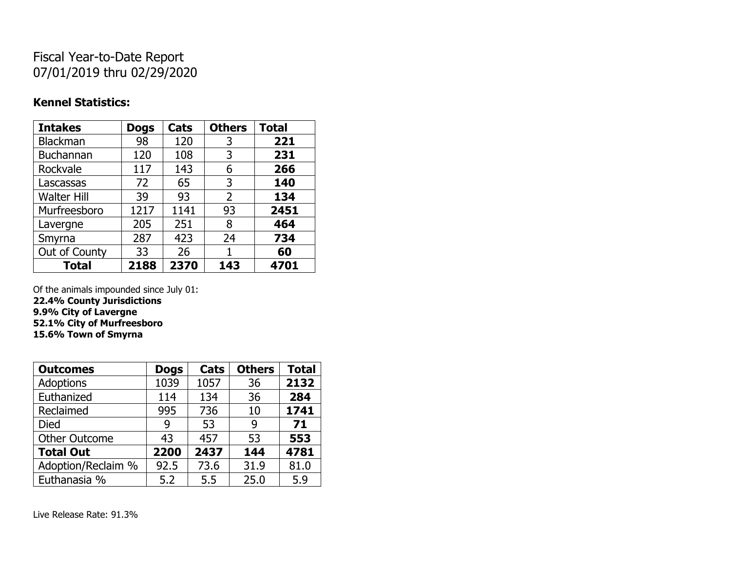## Fiscal Year-to-Date Report 07/01/2019 thru 02/29/2020

### **Kennel Statistics:**

| <b>Intakes</b>     | <b>Dogs</b> | Cats | <b>Others</b> | <b>Total</b> |
|--------------------|-------------|------|---------------|--------------|
| Blackman           | 98          | 120  | 3             | 221          |
| Buchannan          | 120         | 108  | 3             | 231          |
| Rockvale           | 117         | 143  | 6             | 266          |
| Lascassas          | 72          | 65   | 3             | 140          |
| <b>Walter Hill</b> | 39          | 93   | 2             | 134          |
| Murfreesboro       | 1217        | 1141 | 93            | 2451         |
| Lavergne           | 205         | 251  | 8             | 464          |
| Smyrna             | 287         | 423  | 24            | 734          |
| Out of County      | 33          | 26   | 1             | 60           |
| <b>Total</b>       | 2188        | 2370 | 143           | 4701         |

Of the animals impounded since July 01:

**22.4% County Jurisdictions 9.9% City of Lavergne 52.1% City of Murfreesboro**

**15.6% Town of Smyrna**

| <b>Outcomes</b>      | <b>Dogs</b> | Cats | <b>Others</b> | <b>Total</b> |
|----------------------|-------------|------|---------------|--------------|
| <b>Adoptions</b>     | 1039        | 1057 | 36            | 2132         |
| Euthanized           | 114         | 134  | 36            | 284          |
| Reclaimed            | 995         | 736  | 10            | 1741         |
| Died                 | 9           | 53   | 9             | 71           |
| <b>Other Outcome</b> | 43          | 457  | 53            | 553          |
| <b>Total Out</b>     | 2200        | 2437 | 144           | 4781         |
| Adoption/Reclaim %   | 92.5        | 73.6 | 31.9          | 81.0         |
| Euthanasia %         | 5.2         | 5.5  | 25.0          | 5.9          |

Live Release Rate: 91.3%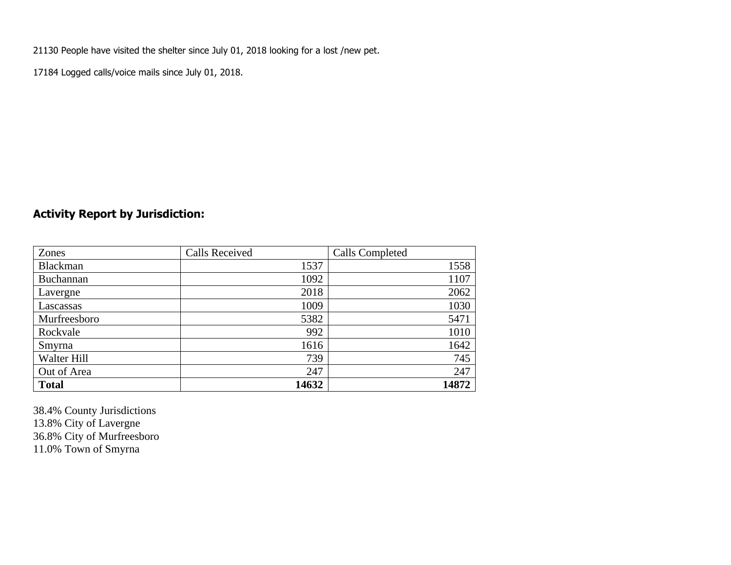21130 People have visited the shelter since July 01, 2018 looking for a lost /new pet.

17184 Logged calls/voice mails since July 01, 2018.

### **Activity Report by Jurisdiction:**

| Zones           | <b>Calls Received</b> | Calls Completed |
|-----------------|-----------------------|-----------------|
| <b>Blackman</b> | 1537                  | 1558            |
| Buchannan       | 1092                  | 1107            |
| Lavergne        | 2018                  | 2062            |
| Lascassas       | 1009                  | 1030            |
| Murfreesboro    | 5382                  | 5471            |
| Rockvale        | 992                   | 1010            |
| Smyrna          | 1616                  | 1642            |
| Walter Hill     | 739                   | 745             |
| Out of Area     | 247                   | 247             |
| <b>Total</b>    | 14632                 | 14872           |

38.4% County Jurisdictions 13.8% City of Lavergne 36.8% City of Murfreesboro 11.0% Town of Smyrna